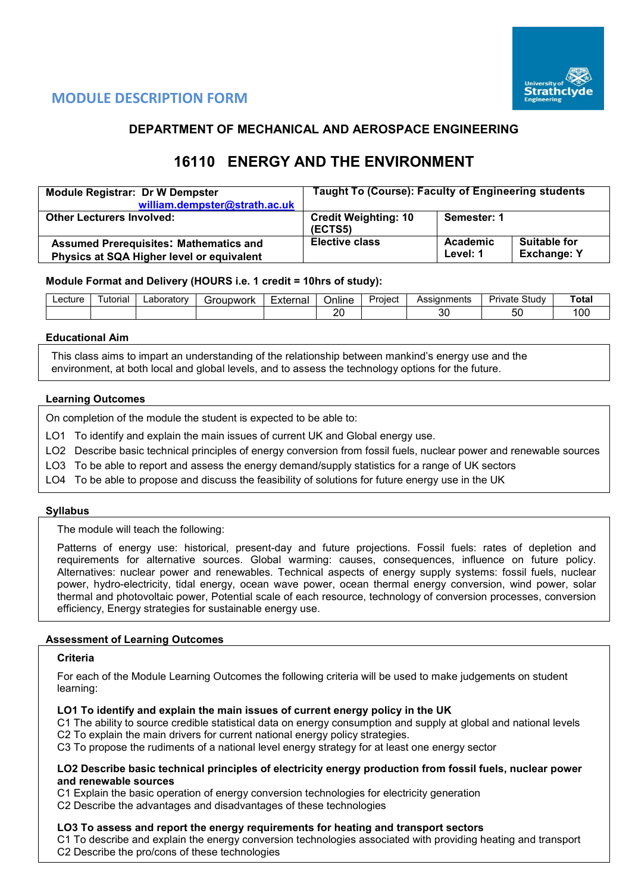

# **MODULE DESCRIPTION FORM**

## **DEPARTMENT OF MECHANICAL AND AEROSPACE ENGINEERING**

# **16110 ENERGY AND THE ENVIRONMENT**

| <b>Module Registrar: Dr W Dempster</b>                                                     | <b>Taught To (Course): Faculty of Engineering students</b> |                      |                                           |  |  |  |
|--------------------------------------------------------------------------------------------|------------------------------------------------------------|----------------------|-------------------------------------------|--|--|--|
| william.dempster@strath.ac.uk                                                              |                                                            |                      |                                           |  |  |  |
| <b>Other Lecturers Involved:</b>                                                           | <b>Credit Weighting: 10</b><br>(ECTS5)                     |                      |                                           |  |  |  |
| <b>Assumed Prerequisites: Mathematics and</b><br>Physics at SQA Higher level or equivalent | <b>Elective class</b>                                      | Academic<br>Level: 1 | <b>Suitable for</b><br><b>Exchange: Y</b> |  |  |  |

## **Module Format and Delivery (HOURS i.e. 1 credit = 10hrs of study):**

| _ecture | utorial | ∟aboratorv | Groupwork | ⊧xternal<br>⊃nlıne |               | Project | Assianments | Study<br>uvate: | Total                           |
|---------|---------|------------|-----------|--------------------|---------------|---------|-------------|-----------------|---------------------------------|
|         |         |            |           |                    | $\alpha$<br>∼ |         | n,<br>υc    | ວເ              | $\overline{\phantom{a}}$<br>טע. |

#### **Educational Aim**

This class aims to impart an understanding of the relationship between mankind's energy use and the environment, at both local and global levels, and to assess the technology options for the future.

#### **Learning Outcomes**

On completion of the module the student is expected to be able to:

- LO1 To identify and explain the main issues of current UK and Global energy use.
- LO2 Describe basic technical principles of energy conversion from fossil fuels, nuclear power and renewable sources
- LO3 To be able to report and assess the energy demand/supply statistics for a range of UK sectors
- LO4 To be able to propose and discuss the feasibility of solutions for future energy use in the UK

## **Syllabus**

The module will teach the following:

Patterns of energy use: historical, present-day and future projections. Fossil fuels: rates of depletion and requirements for alternative sources. Global warming: causes, consequences, influence on future policy. Alternatives: nuclear power and renewables. Technical aspects of energy supply systems: fossil fuels, nuclear power, hydro-electricity, tidal energy, ocean wave power, ocean thermal energy conversion, wind power, solar thermal and photovoltaic power, Potential scale of each resource, technology of conversion processes, conversion efficiency, Energy strategies for sustainable energy use.

#### **Assessment of Learning Outcomes**

#### **Criteria**

For each of the Module Learning Outcomes the following criteria will be used to make judgements on student learning:

#### **LO1 To identify and explain the main issues of current energy policy in the UK**

C1 The ability to source credible statistical data on energy consumption and supply at global and national levels C2 To explain the main drivers for current national energy policy strategies.

C3 To propose the rudiments of a national level energy strategy for at least one energy sector

#### **LO2 Describe basic technical principles of electricity energy production from fossil fuels, nuclear power and renewable sources**

C1 Explain the basic operation of energy conversion technologies for electricity generation

C2 Describe the advantages and disadvantages of these technologies

#### **LO3 To assess and report the energy requirements for heating and transport sectors**

C1 To describe and explain the energy conversion technologies associated with providing heating and transport C2 Describe the pro/cons of these technologies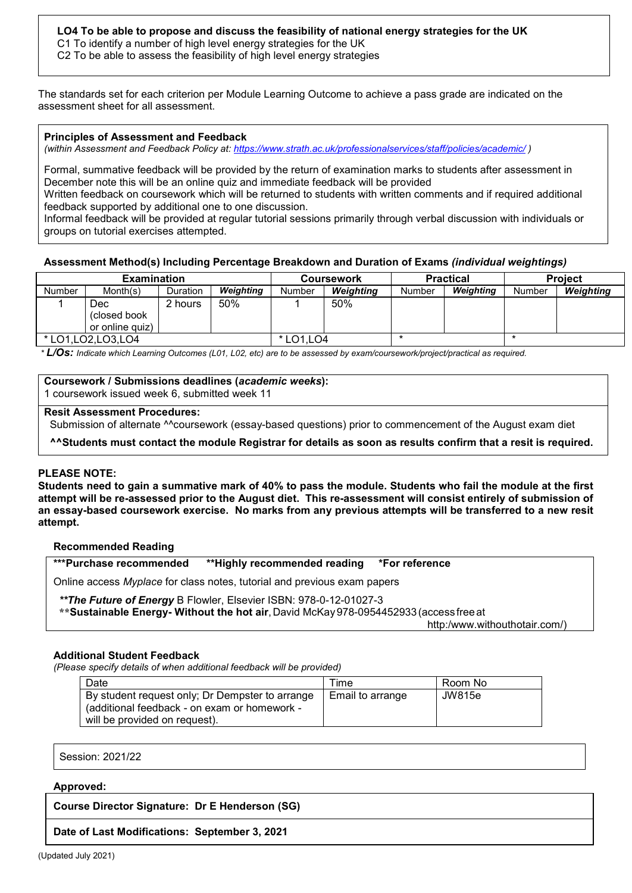## **LO4 To be able to propose and discuss the feasibility of national energy strategies for the UK**

C1 To identify a number of high level energy strategies for the UK

C2 To be able to assess the feasibility of high level energy strategies

The standards set for each criterion per Module Learning Outcome to achieve a pass grade are indicated on the assessment sheet for all assessment.

#### **Principles of Assessment and Feedback**

*(within Assessment and Feedback Policy at: <https://www.strath.ac.uk/professionalservices/staff/policies/academic/> )*

Formal, summative feedback will be provided by the return of examination marks to students after assessment in December note this will be an online quiz and immediate feedback will be provided

Written feedback on coursework which will be returned to students with written comments and if required additional feedback supported by additional one to one discussion.

Informal feedback will be provided at regular tutorial sessions primarily through verbal discussion with individuals or groups on tutorial exercises attempted.

#### **Assessment Method(s) Including Percentage Breakdown and Duration of Exams** *(individual weightings)*

|                      | <b>Examination</b>                      |          |           |        | <b>Coursework</b> |        | <b>Practical</b> | <b>Project</b> |           |  |
|----------------------|-----------------------------------------|----------|-----------|--------|-------------------|--------|------------------|----------------|-----------|--|
| Number               | Month(s)                                | Duration | Weighting | Number | Weighting         | Number | Weighting        | Number         | Weighting |  |
|                      | Dec<br>(closed book)<br>or online quiz) | 2 hours  | 50%       |        | 50%               |        |                  |                |           |  |
| * LO1, LO2, LO3, LO4 |                                         |          | * LO1.LO4 |        |                   |        |                  |                |           |  |

*\* L/Os: Indicate which Learning Outcomes (L01, L02, etc) are to be assessed by exam/coursework/project/practical as required.*

## **Coursework / Submissions deadlines (***academic weeks***):**

1 coursework issued week 6, submitted week 11

## **Resit Assessment Procedures:**

Submission of alternate ^^coursework (essay-based questions) prior to commencement of the August exam diet

**^^Students must contact the module Registrar for details as soon as results confirm that a resit is required.** 

#### **PLEASE NOTE:**

**Students need to gain a summative mark of 40% to pass the module. Students who fail the module at the first attempt will be re-assessed prior to the August diet. This re-assessment will consist entirely of submission of an essay-based coursework exercise. No marks from any previous attempts will be transferred to a new resit attempt.**

#### **Recommended Reading**

**\*\*\*Purchase recommended \*\*Highly recommended reading \*For reference**

Online access *Myplace* for class notes, tutorial and previous exam papers

#### *\*\*The Future of Energy* B Flowler, Elsevier ISBN: 978-0-12-01027-3

**\*\*Sustainable Energy- Without the hot air**,David McKay978-0954452933 (access free at

http:/www.withouthotair.com/)

#### **Additional Student Feedback**

*(Please specify details of when additional feedback will be provided)*

| Date                                            | Time             | Room No |
|-------------------------------------------------|------------------|---------|
| By student request only; Dr Dempster to arrange | Email to arrange | JW815e  |
| (additional feedback - on exam or homework -    |                  |         |
| will be provided on request).                   |                  |         |

Session: 2021/22

#### **Approved:**

**Course Director Signature: Dr E Henderson (SG)**

#### **Date of Last Modifications: September 3, 2021**